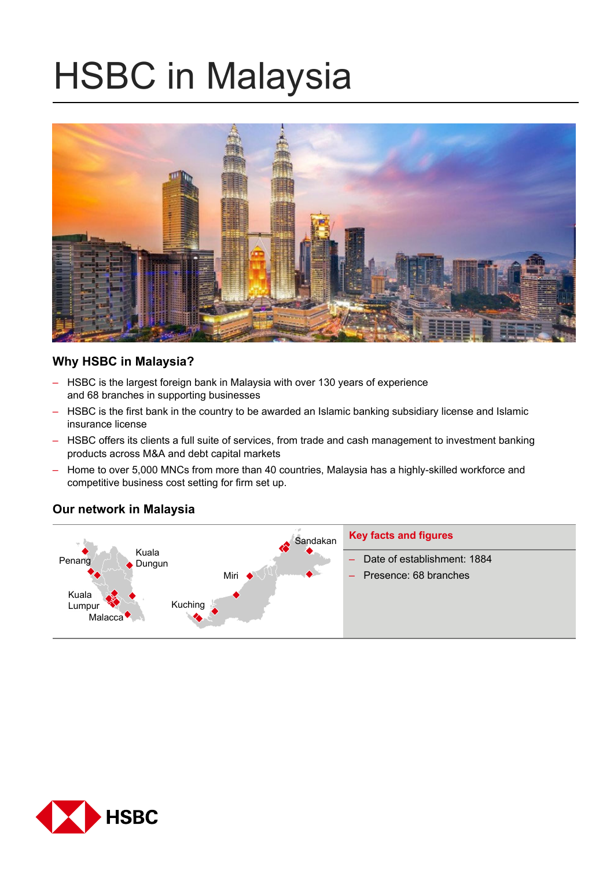# HSBC in Malaysia



# **Why HSBC in Malaysia?**

- HSBC is the largest foreign bank in Malaysia with over 130 years of experience and 68 branches in supporting businesses
- HSBC is the first bank in the country to be awarded an Islamic banking subsidiary license and Islamic insurance license
- HSBC offers its clients a full suite of services, from trade and cash management to investment banking products across M&A and debt capital markets
- Home to over 5,000 MNCs from more than 40 countries, Malaysia has a highly-skilled workforce and competitive business cost setting for firm set up.

# **Our network in Malaysia**